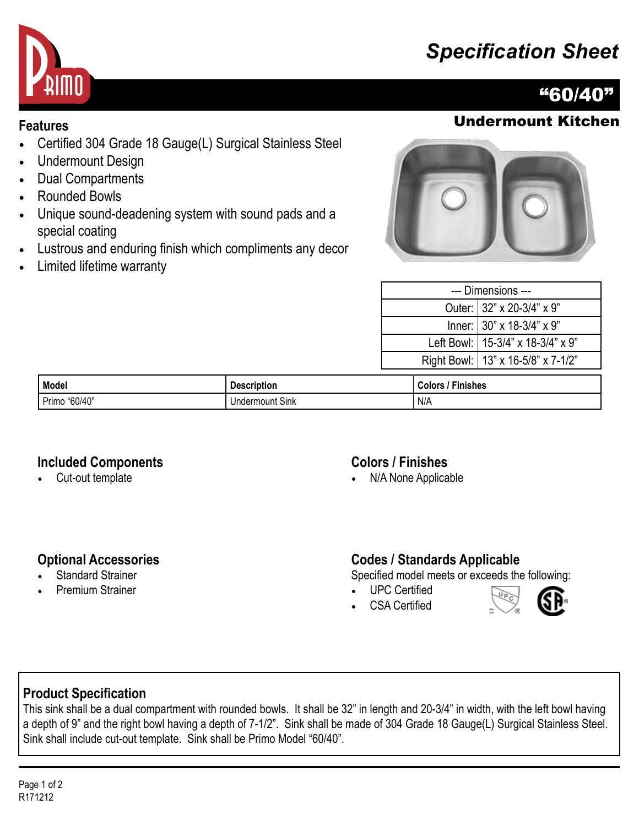# *Specification Sheet*



# "60/40"

## **Features** Undermount Kitchen

- Certified 304 Grade 18 Gauge(L) Surgical Stainless Steel
- Undermount Design
- Dual Compartments
- Rounded Bowls
- Unique sound-deadening system with sound pads and a special coating
- Lustrous and enduring finish which compliments any decor
- Limited lifetime warranty



| --- Dimensions --- |                                      |  |
|--------------------|--------------------------------------|--|
|                    | Outer: 32" x 20-3/4" x 9"            |  |
|                    | Inner: 30" x 18-3/4" x 9"            |  |
|                    | Left Bowl:   15-3/4" x 18-3/4" x 9"  |  |
|                    | Right Bowl:   13" x 16-5/8" x 7-1/2" |  |
|                    |                                      |  |

| <b>Model</b>     | <b>Description</b>              | <b>Finishes</b><br>Colors |
|------------------|---------------------------------|---------------------------|
| "60/40"<br>Primo | $\sim$<br>Thdermount Sink<br>JP | N/A                       |

#### **Included Components**

• Cut-out template

### **Colors / Finishes**

• N/A None Applicable

### **Optional Accessories**

- **Standard Strainer**
- Premium Strainer

### **Codes / Standards Applicable**

Specified model meets or exceeds the following:

- UPC Certified
- CSA Certified



## **Product Specification**

This sink shall be a dual compartment with rounded bowls. It shall be 32" in length and 20-3/4" in width, with the left bowl having a depth of 9" and the right bowl having a depth of 7-1/2". Sink shall be made of 304 Grade 18 Gauge(L) Surgical Stainless Steel. Sink shall include cut-out template. Sink shall be Primo Model "60/40".